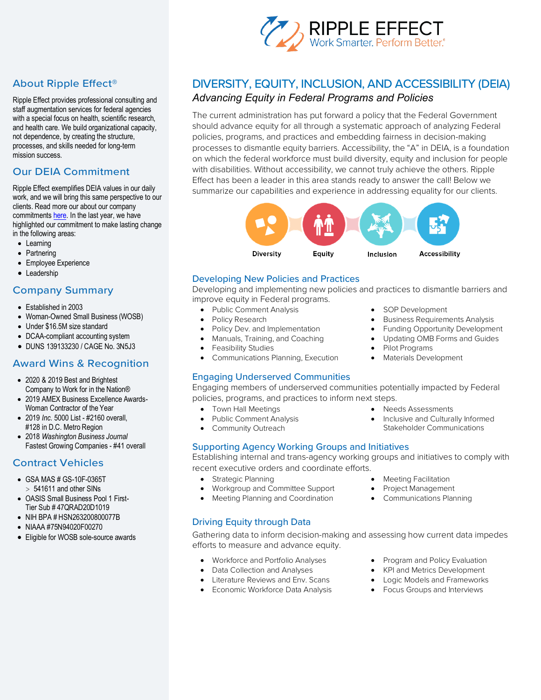

# About Ripple Effect®

Ripple Effect provides professional consulting and staff augmentation services for federal agencies with a special focus on health, scientific research, and health care. We build organizational capacity, not dependence, by creating the structure, processes, and skills needed for long-term mission success.

# Our DEIA Commitment

Ripple Effect exemplifies DEIA values in our daily work, and we will bring this same perspective to our clients. Read more our about our company commitments here. In the last year, we have highlighted our commitment to make lasting change in the following areas:

- Learning
- Partnering
- Employee Experience
- Leadership

## Company Summary

- Established in 2003
- Woman-Owned Small Business (WOSB)
- Under \$16.5M size standard
- DCAA-compliant accounting system
- DUNS 139133230 / CAGE No. 3N5J3

## Award Wins & Recognition

- 2020 & 2019 Best and Brightest Company to Work for in the Nation®
- 2019 AMEX Business Excellence Awards-Woman Contractor of the Year
- 2019 *Inc.* 5000 List #2160 overall, #128 in D.C. Metro Region
- 2018 *Washington Business Journal* Fastest Growing Companies - #41 overall

# Contract Vehicles

- GSA MAS # GS-10F-0365T  $> 541611$  and other SINs
- OASIS Small Business Pool 1 First-Tier Sub # 47QRAD20D1019
- NIH BPA # HSN263200800077B
- NIAAA #75N94020F00270
- Eligible for WOSB sole-source awards

# DIVERSITY, EQUITY, INCLUSION, AND ACCESSIBILITY (DEIA) *Advancing Equity in Federal Programs and Policies*

The current administration has put forward a policy that the Federal Government should advance equity for all through a systematic approach of analyzing Federal policies, programs, and practices and embedding fairness in decision-making processes to dismantle equity barriers. Accessibility, the "A" in DEIA, is a foundation on which the federal workforce must build diversity, equity and inclusion for people with disabilities. Without accessibility, we cannot truly achieve the others. Ripple Effect has been a leader in this area stands ready to answer the call! Below we summarize our capabilities and experience in addressing equality for our clients.



## Developing New Policies and Practices

Developing and implementing new policies and practices to dismantle barriers and improve equity in Federal programs.

- Public Comment Analysis
- Policy Research
- Policy Dev. and Implementation
- Manuals, Training, and Coaching
- Feasibility Studies
- Communications Planning, Execution

## Engaging Underserved Communities

Engaging members of underserved communities potentially impacted by Federal policies, programs, and practices to inform next steps.

- Town Hall Meetings
- Public Comment Analysis
- Community Outreach

## Supporting Agency Working Groups and Initiatives

Establishing internal and trans-agency working groups and initiatives to comply with recent executive orders and coordinate efforts.

- Strategic Planning
- Workgroup and Committee Support
- Meeting Planning and Coordination

## Driving Equity through Data

Gathering data to inform decision-making and assessing how current data impedes efforts to measure and advance equity.

- Workforce and Portfolio Analyses
- Data Collection and Analyses
- Literature Reviews and Env. Scans
- Economic Workforce Data Analysis
- Meeting Facilitation
- Project Management
- Communications Planning
- Program and Policy Evaluation
- KPI and Metrics Development
- Logic Models and Frameworks
- Focus Groups and Interviews

• Pilot Programs • Materials Development

• Needs Assessments

SOP Development

• Business Requirements Analysis Funding Opportunity Development • Updating OMB Forms and Guides

• Inclusive and Culturally Informed Stakeholder Communications